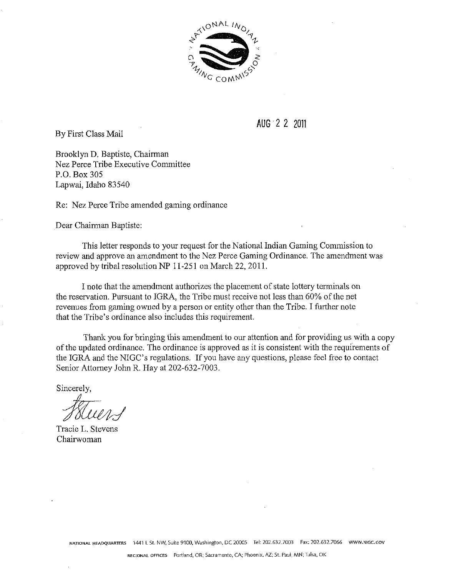

By First Class Mail

**AUG** 2 2 2011

Brooklyn D. Baptiste, Chairman Nez Perce Tribe Executive Committee P.O. Box 305 Lapwai, Idaho 83540

Re: Nez Perce Tribe amended gaming ordinance

Dear Chairman Baptiste:

This letter responds to your request for the National Indian Gaming Commission to review and approve an amendment to the Nez Perce Gaming Ordinance. The amendment was approved by tribal resolution NP 11-251 on March 22, 2011.

I note that the amendment authorizes the placement of state lottery ternlinals on the reservation. Pursuant to IGRA. the Tribe must receive not less than 60% of the net revenues from gaming owned by a person or entity other than the Tribe. I further note that the Tribe's ordinance also includes this requirement.

Thank you for bringing this amendment to our attention and for providing us with a copy of the updated ordinance. The ordinance is approved as it is consistent with the requirements of the IGRA and the NIGC's regulations. If you have any questions, please feel free to contact Senior Attorney John R. Hay at 202-632-7003.

Sincerely,

Tracie L. Stevens Chairwoman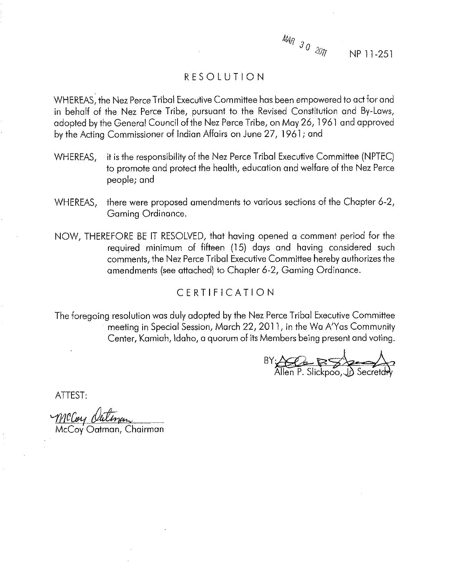

NP 11-251

# RESOLUTION

WHEREAS; the Nez Perce Tribal Executive Committee has been empowered to act for and in behalf of the Nez Perce Tribe, pursuant to the Revised Constitution and By-Laws, adopted by the General Council of the Nez Perce Tribe, on May 26, 1961 and approved by the Acting Commissioner of Indian Affairs on June 27, 1961 ; and

- WHEREAS, it is the responsibility of the Nez Perce Tribal Executive Committee (NPTEC) to promote and protect the health, education and welfare of the Nez Perce people; and
- WHEREAS, there were proposed amendments to various sections of the Chapter 6-2, Gaming Ordinance.
- NOW, THEREFORE BE IT RESOLVED, that having opened a comment period for the required minimum of fifteen (15) days and having considered such comments, the Nez Perce Tribal Executive Committee hereby authorizes the amendments (see attached) to Chapter 6-2, Gaming Ordinance.

# CERTIFICATION

The foregoing resolution was duly adopted by the Nez Perce Tribal Executive Committee meeting in Special Session, March 22,201 1, in the Wa A'Yas Community Center, Kamiah, Idaho, a quorum of its Members being present and voting.

 $BY: \n\begin{array}{ccc}\n\mathbf{BY:} & \quad \quad & \quad \quad & \quad \quad & \quad \quad & \quad \quad & \quad \quad & \quad \quad & \quad \quad & \quad \quad & \quad \quad & \quad \quad & \quad \quad & \quad \quad & \quad \quad & \quad \quad & \quad \quad & \quad \quad & \quad \quad & \quad \quad & \quad \quad & \quad \quad & \quad \quad & \quad \quad & \quad \quad & \quad \quad & \quad \quad & \quad \quad & \quad \quad & \quad$ 

ATTEST:

McCory Outing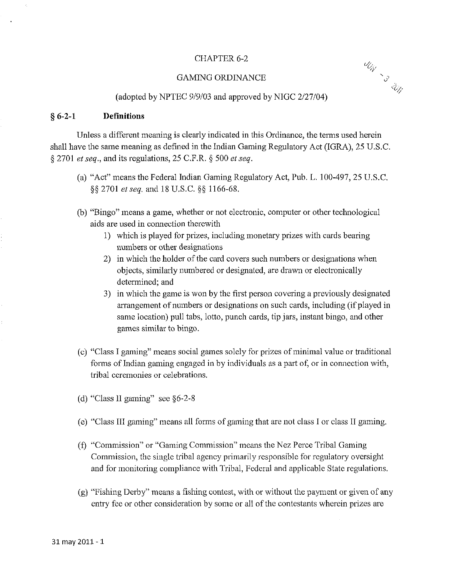### CHAPTER 6-2

#### GAMING ORDINANCE



#### (adopted by NPTEC 9/9/03 and approved by NIGC 2/27/04)

#### *5* **6-2-1 Definitions**

Unless a different meaning is clearly indicated in this Ordinance, the terms used herein shall have the same meaning as defined in the Indian Gaming Regulatory Act (IGRA), 25 U.S.C. \$ 2701 *et seq.,* and its regulations, 25 C.F.R. 5 500 *et seq.* 

- (a) "Act" means the Federal Indian Ganing Regulatory Act, Pub. L. 100-497,25 U.S.C. \$§ 2701 *etseq.* and 18 U.S.C. §\$ 1166-68.
- (b) "Bingo" means a game, whether or not electronic, computer or other technological aids are used in connection therewith
	- 1) which is played for prizes, including monetary prizes with cards bearing numbers or other designations
	- 2) in which the holder of the card covers such numbers or designations when objects, similarly numbered or designated, are drawn or electronically determined; and
	- 3) in which thc game is won by the first person covering a previously designated arrangement of numbers or designations on such cards, including (if played in same location) pull tabs, lotto, punch cards, tip jars, instant bingo, and other games similar to bingo.
- (c) "Class I gaming" means social games solely for prizes of minimal value or traditional forms of Indian gaming engaged in by individuals as a part of, or in connection with, tribal ceremonies or celebrations.
- (d) "Class II gaming" see  $§6-2-8$
- (e) "Class III gaming" means all forms of gaming that are not class I or class II gaming.
- (f) "Commission" or "Gaming Commission" means the Nez Perce Tribal Gaming Commission, the single tribal agency primarily responsible for regulatory oversight and for monitoring compliance with Tribal, Federal and applicable State regulations.
- (g) "Fishing Derby" means a fishing contest, with or without the payment or given of any entry fee or other consideration by some or all of the contestants wherein prizes are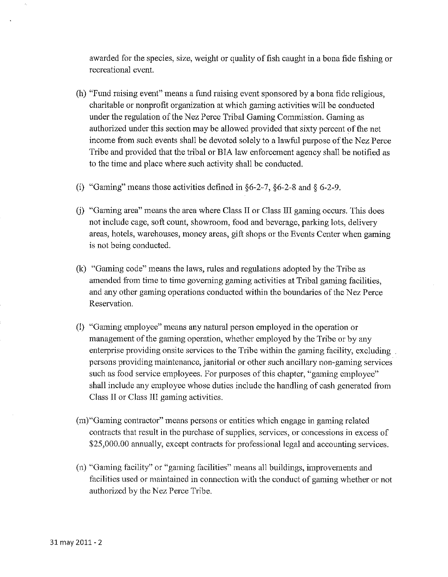awarded for the species, size, weight or quality of fish caught in a bona fide fishing or recreational event.

- (h) "Fund raising event" means a fund raising event sponsored by a bona fide religious, charitable or nonprofit organization at which gaming activities will be conducted under the regulation of the Nez Perce Tribal Gaming Commission. Gaming as authorized under this section may be allowed provided that sixty percent of the net income from such events shall be devoted solely to a lawful purpose of the Nez Perce Tribe and provided that the tribal or BIA law enforcement agency shall be notified as to the time and place where such activity shall be conducted.
- (i) "Gaming" means those activities defined in 56-2-7, 56-2-8 and **8** 6-2-9.
- (j) "Gaming area" means the area where Class I1 or Class 111 gaming occurs. This does not include cage, soft count, showroom, food and beverage, parking lots, delivery areas, hotels, warehouses, money areas, gift shops or the Events Center when gaming is not being conducted.
- (k) "Gaming code" means the laws, rules and regulations adopted by the Tribe as amended from time to time governing gaming activities at Tribal gaming facilities, and any other gaming operations conducted within the boundaries of the Nez Perce Reservation.
- (1) "Gaming employee" means any natural person mployed in the operation or rnanagernent of the gaming operation, whether employed by the Tribe or by any enterprise providing onsite services to the Tribe within the gaming facility, excluding persons providing maintenance, janitorial or other such ancillary non-gaming services such as food service employees. For purposes of this chapter, "gaming employee" shall include any employee whose duties include the handling of cash generated from Class II or Class III gaming activities.
- (m) "Gaming contractor" means persons or entities which engage in gaming related contracts that result in the purchase of supplies, services, or concessions in excess of \$25,000.00 annually, except contracts for professional legal and accounting services.
- (n) "Gaming facility" or "gaming facilities" means all buildings, improvements and facilities used or maintained in connection with the conduct of gaming whether or not authorized by the Nez Perce Tribe.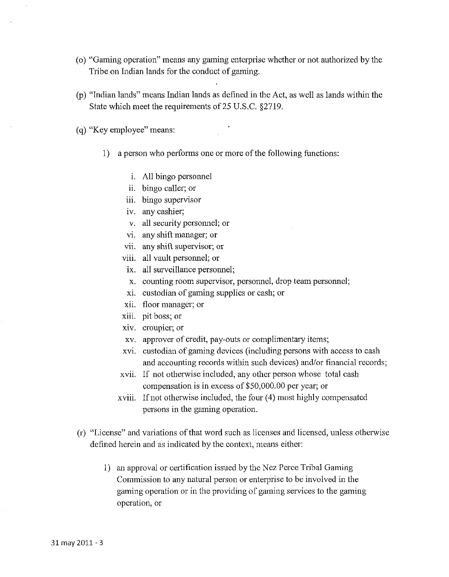- (o) "Gaming operation" means any gaming enterprise whether or not authorized by the Tribe on Indian lands for the conduct of gaming.
- @) "Indian lands" ineans Indian lands as defined in the Act, as well as lands within the State which meet the requirements of 25 U.S.C. \$2719.

(q) ''Icey employee" means:

- 1) a person who performs one or more of the following functions:
	- i. All bingo personnel
	- ii, bingo caller; or
	- iii. bingo supervisor
	- iv. any cashier;
	- v, all security personnel; or
	- vi. any shift manager; or
	- vii. any shift supervisor; or
	- viii. all vault personnel; or
	- ix. all surveillance personnel;
	- x. counting room supervisor, personnel, drop team personnel;
	- xi. custodian of gaming supplies or cash; or
	- xii, floor manager; or
	- xiii. pit boss; or
	- xiv. croupier; or
	- xv. approver of credit, pay-outs or complimentary items;
	- xvi. custodian of gaming devices (including persons with access to cash and accounting records within such devices) and/or financial records;
	- xvii. If not otherwise included, any othcr person whose total cash compensation is in excess oT\$50,000.00 per year; or
	- $xviii.$  If not otherwise included, the four  $(4)$  most highly compensated persons in the gaming operation.
- (r) "License" and variations of that word such as licenses and licensed, unless otherwise defined herein and as indicated by the context, means either:
	- 1) an approval or certification issued by the Ncz Pcrce Tribal Gaming Commission to any natural person or enterprise to be involved in the gaming operation or in the providing of gaming services to the gaming operation, or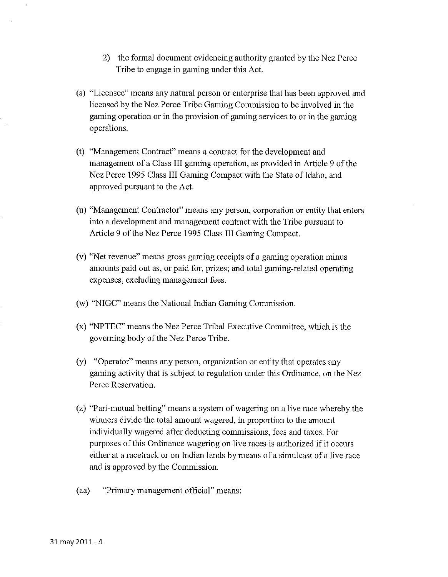- 2) the formal document evidencing authority granted by the Nez Perce Tribe to engage in gaming under this Act.
- (s) "Licensee" ineans any natural person or enterprise that has been approved and licensed by the Nez Perce Tribe Gaming Commission to be involved in the gaining operation or in the provision of gaming services to or in the gaming opera'tions.
- (t) "Management Contract" means a contract for the development and management of a Class 111 gaming operation, as provided in Article 9 of the Nez Perce 1995 Class III Gaming Compact with the State of Idaho, and approved pursuant to the Act.
- (u) "Management Contractor" means any person, corporation or entity that enters into a development and management contract with the Tribe pursuant to Article 9 of the Nez Perce 1995 Class III Gaming Compact.
- (v) "Net revenue" means gross gaming receipts of a gaming operation minus amounts paid out as, or paid for, prizes; and total gaming-related operating expenses, excluding management fees.
- (w) "NIGC" means the National Indian Gaming Commission
- $(x)$  "NPTEC" means the Nez Perce Tribal Executive Committee, which is the govcrning body of the Nez Perce Tribe.
- (y) "Operator" means any person, organization or entity that operates any gaming activity that is subject to regulation under tbis Ordinance, on the Nez Perce Reservation.
- (z) "Pari-mutual betting" means a system of wagering on a live race whereby the winners divide the total amount wagered, in proportion to the amount individually wagered after deducting commissions, fees and taxes. For purposes of this Ordinance wagering on live races is authorized if it occurs either at a racetrack or on Indian lands by means of a simulcast of a live race and is approved by the Commission.
- (aa) "Primary management official" means: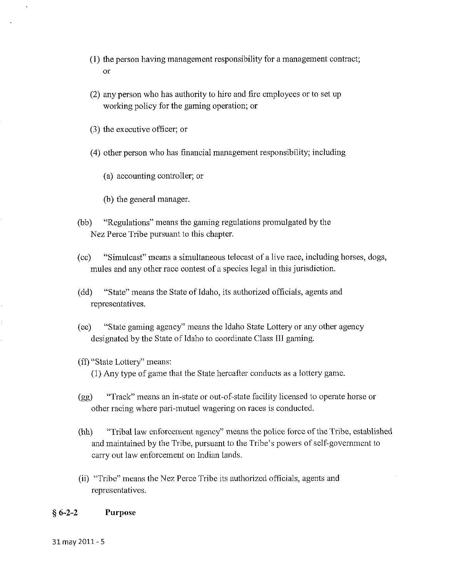- (1) the person having management responsibility for a management contract; 01'
- (2) any person who has authority to hire and fire employees or to set up working policy for the gaming operation; or
- (3) the executive officer; or
- (4) other person who has financial management responsibility; including
	- (a) accounting controller; or
	- (b) the general manager.
- (bb) "Regulations" means the gaming regulations promulgated by the Nez Perce Tribe pursuant to this chapter.
- (cc) "Simulcast" means a simultaneous telecast of a live race, including horses, dogs, mules and any other race contest of a species legal in this jurisdiction.
- (dd) "State" means the State of Idaho, its authorized officials, agents and representatives.
- (ee) "State gaming agency" means the Idaho State Lottery or any other agency designated by the State of Idaho to coordinate Class III gaming.
- (ff) "State Lottery" means:

(1) Any type of game that the State hereafter conducts as a lottery game.

- (gg) "Track" means an in-state or out-of-state facility licensed lo operate horsc or other racing where pari-mutuel wagering on races is conducted.
- (hh) "Tribal law enforcement agency" means the police force of the Tribe, established and maintained by the Tribe, pursuant to the Tribe's powers of self-government to carry out law enforcement on Indian lands.
- (ii) "Tribe" means the Nez Perce Tribe its authorized officials, agents and representatives.

#### *5 6-2-2* **Purpose**

31 may 2011 - 5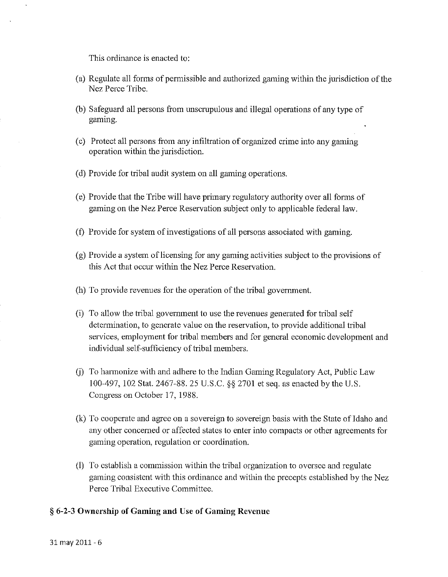This ordinance is enacted to:

- (a) Regulate all forms of permissible and authorized gaming within the jurisdiction of the Nez Perce Tribe.
- (b) Safeguard all persons from unscrupulous and illegal operations of any type of gaming.
- $(c)$  Protect all persons from any infiltration of organized crime into any gaming operation within the jurisdiction.
- (d) Provide for tribal audit system on all gaming operations.
- (e) Provide that the Tribe will have primary regulatory authority over all fonns of gaming on the Nez Perce Reservation subject only to applicable federal law.
- (f) Provide for system of investigations of all persons associated with gaming.
- $(g)$  Provide a system of licensing for any gaming activities subject to the provisions of this Act that occur within the Nez Perce Reservation.
- (h) To provide revenues for the operation of the tribal government.
- (i) To allow the tribal government to use the revenues generated for tribal self determination, to generate value on the reservation, to provide additional tribal services, employment for tribal members and for general economic development and individual self-sufficiency of tribal members.
- (i) To harmonize with and adhere to the Indian Gaming Regulatory Act, Public Law 100-497, 102 Stat. 2467-88.25 U.S.C. \$5 2701 et seq. as enacted by thc U.S. Congress on October 17, 1988.
- (k) To cooperate and agree on a sovereign to sovereign basis with the State of Idaho and any other concerned or affected states to enter into compacts or other agreements for gaming operation, regulation or coordination.
- (I) To establish a commission within the tribal organization to oversee and regulate gaming consistent with this ordinance and within the precepts established by the Nez Perce Tribal Executive Committee.

### *5* **6-2-3 Ownership of Gaming and Use of Gaming Revcnuc**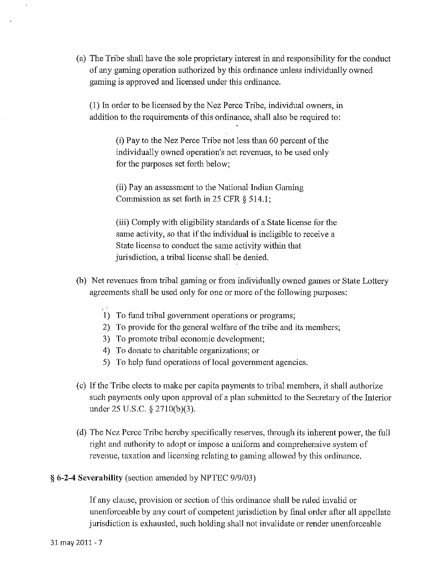(a) The Tribe shall have the sole proprietary interest in and responsibility for the conduct of any gaming operation authorized by this ordinance unless individually owned gaming is approved and licensed under this ordinance.

(1) In order to be licensed by the Nez Perce Tribe, individual owners, in addition to the requirements of this ordinance, shall also be required to:

> (i) Pay to the Nez Perce Tribe not less than 60 percent of the individually owned operation's net revenues, to be used only for the purposes set forth below;

(ii) Pay an assessment to the National Indian Gaming Commission as set forth in 25 CFR  $\S$  514.1;

(iii) Comply with eligibility standards of a State license for the same activity, so that if the individual is ineligible to receive a State license to conduct the same activity within that jurisdiction, a tribal license shall be denied.

- (b) Net revenues from tribal gaming or from individually owned games or State Lottery agreements shall be used only for one or more of the following purposes:
	- 1) To fund tribal government operations or programs;
	- 2) To provide for the general welfare of the tribe and its members;
	- 3) To promote tribal economic development;
	- 4) To donate to charitable organizations; or
	- 5) To help fund operations of local government agencies.
- (c) If the Tribe elects to make per capita payments to tribal menlbers, it shall authorize such payments only upon approval of a plan submitted to the Secretary of the Interior under 25 U.S.C. § 2710(b)(3).
- (d) The Nez Perce Tribe hereby specifically reserves, through its inherent power, the full right and authority to adopt or impose a uniform and comprehensive system of revenue, taxation and licensing relating to gaming allowed by this ordinance.

### **§ 6-2-4 Severability** (section amended by NPTEC 9/9/03)

If any clause, provision or section of this ordinance shall be ruled invalid or unenforceable by any court of competent jurisdiction by final order after all appellate jurisdiction is exhausted, such holding shall not invalidate or render unenforceable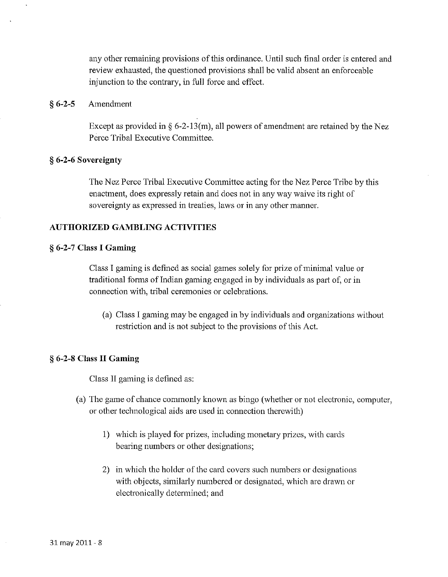any other remaining provisions of this ordinance. Until such final order is entered and review exhausted, the questioned provisions shall be valid absent an enforceable injunction to the contrary, in full force and effect.

### *5* **6-2-5** Amendment

Except as provided in  $\S 6$ -2-13(m), all powers of amendment are retained by the Nez Perce Tribal Executive Committee.

#### *5* **6-2-6 Sovereignty**

The Nez Perce Tribal Executive Committee acting for the Nez Perce Tribe by this enactment, does expressly retain and does not in any way waive its right of sovereignty as expressed in treaties, laws or in any other manner.

### **AUTHORIZED GAMBLING ACTIVITIES**

#### *5* **6-2-7 Class I Gaming**

Class I gaming is defined as social games solely for prize of minimal value or traditional forms of Indian gaming engaged in by individuals as part of, or in connection with. tribal ceremonies or celebrations.

(a) Class I gaming may be engagcd in by individuals and organizations without restriction and is not subject to the provisions of this Act.

#### *5* **6-2-8 Class I1 Gaming**

Class II gaming is defined as:

- (a) The game of chance commonly known as bingo (whether or not electronic, computer, or other technological aids are used in connection therewith)
	- 1) which is played for prizes, including monetary prizes, with cards bearing nurnbers or other designations;
	- 2) in which the holder of the card covers such numbers or designations with objects, similarly numbered or designated, which are drawn or electronically determined; and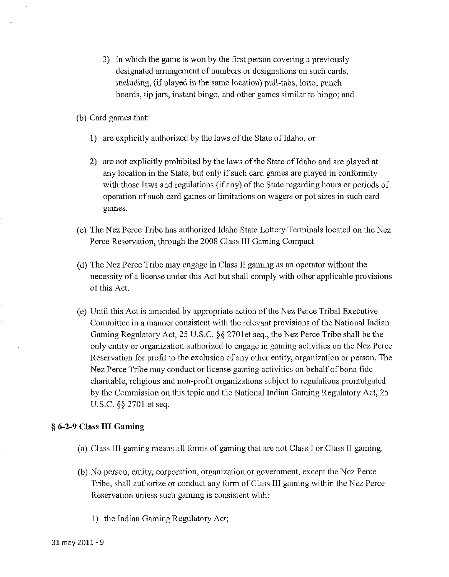- 3) in which the game is won by the first person covering a previously designated arrangement of numbers or designations on such cards, including, (if played in the same location) pull-tabs, lotto, punch boards, tip jars, instant bingo, and other games similar to bingo; and
- (b) Card games that:
	- 1) are explicitly authorized by the laws of the State of Idaho, or
	- 2) are not explicitly prohibited by the laws of the State of Idaho and are played at any location in the State, but only if such card games are played in conformity with those laws and regulations (if any) of the State regarding hours or periods of operation of such card games or limitations on wagers or pot sizes in such card games.
- (c) The Nez Perce Tribe has authorized Idaho State Lottery Terminals located on the Nez Perce Reservation, through the 2008 Class I11 Gaming Compact
- (d) The Nez Perce Tribe may engage in Class I1 gaming as an operator without the necessity of a license under this Act but shall comply with other applicable provisions of this Act.
- (e) Until this Act is amended by appropriate action of the Nez Perce Tribal Executive Committee in a manner consistent with the relevant provisions of the National Indian Gaming Regulatory Act, 25 U.S.C. \$5 2701et seq., the Nez Perce Tribe shall be the only entity or organization authorized to engage in gaming activities on the Nez Perce Reservation for profit to the exclusion of any other entity, organization or person. The Nez Perce Tribe may conduct or license gaming activities on behalf of bona fide charitable, religious and non-profit organizations subject to regulations promulgated by the Commission on this topic and the National Indian Gaming Regulatory Act, 25 U.S.C. \$5 2701 et seq.

### *5* **6-2-9 Class 111 Gaming**

- (a) Class III gaming means all forms of gaming that are not Class I or Class II gaming.
- (b) No person, entity, corporation, organization or government, except the Nez Perce Tribe, shall authorize or conduct any form of Class 111 gaming within the Nez Perce Reservation unless such gaming is consistent with:
	- 1) the Indian Gaming Regulatory Act;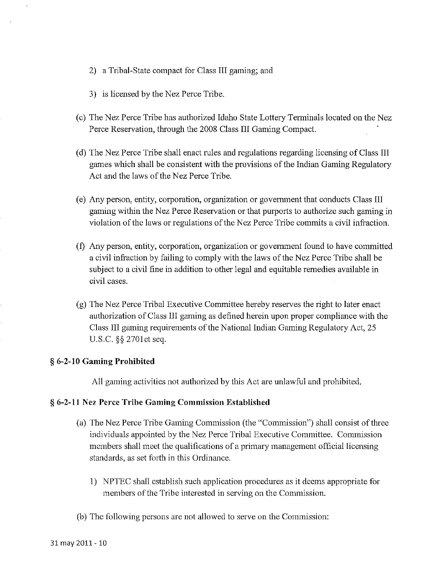- 2) a Tribal-State compact for Class III gaming; and
- 3) is licensed by the Nez Perce Tribe.
- (c) The Nez Perce Tribe has authorized Idaho State Lottery Terminals located on the Nez Perce Reservation, through the 2008 Class III Gaming Compact.
- (d) The Nez Perce Tribe shall enact rules and regulations regarding licensing of Class 111 games which shall be consistent with the provisions of the Indian Gaming Regulatory Act and the laws of the Nez Perce Tribe.
- (e) Any person, entity, corporation, organization or government that conducts Class III gaming within the Nez Perce Reservation or that purports to authorize such gaming in violation of the laws or regulations of the Nez Perce Tribe commits a civil infraction.
- (f) Any person, entity, corporation, organization or government found to have committed a civil infraction by failing to comply with the laws of the Nez Perce Tribe shall be subject to a civil fine in addition to other legal and equitable remedies available in civil cases.
- (g) The Nez Perce Tribal Executive Committee hereby reserves the right to later enact authorization of Class III gaming as defined herein upon proper compliance with the Class III gaming requirements of the National Indian Gaming Regulatory Act, 25 U.S.C. \$5 2701ct seq.

### **3** 6-2-10 Gaming Prohibited

All gaming activities not authorized by this Act are unlawful and prohibited.

### **3** 6-2-1 **1** Nez Pcrcc Tribe Gaming Commission Established

- (a) The Nez Perce Tribe Gaming Commission (the "Commission") shall consist of three individuals appointed by the Nez Perce Tribal Executive Committee. Commission members shall meet the qualifications of a primary management official licensing standards, as set forth in this Ordinance.
	- 1) NPTEC shall establish such application procedures as it deems appropriate for members of the Tribe interested in serving on the Commission.
- (b) The following persons are not allowed to serve on the Commission: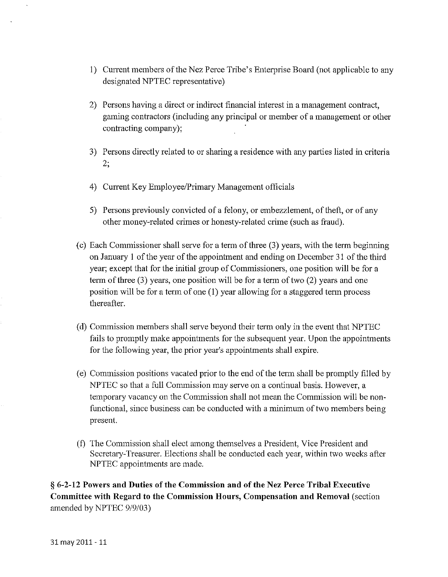- 1) Current inernbers of the Nez Perce Tribe's Enterprise Board (not applicable to any designated NPTEC representative)
- 2) Persons having a direct or indirect financial interest in a management contract, gaming contractors (including any principal or member of a management or other contracting company);
- 3) Persons directly related to or sharing a residence with any parties listed in criteria 2;
- 4) Current Key Employee/Primary Management officials
- 5) Persons previously convicted of a felony, or embezzlement, of theft, or of any other money-related crimes or honesty-related crime (such as fraud).
- (c) Each Commissioner shall serve for a term of three  $(3)$  years, with the term beginning on January 1 of the year of the appointment and ending on December 31 of the third year; except that for the initial group of Commissioners, one position will be for a term of three (3) years, one position will be for a term of two (2) years and one position will be for a term of one (1) year allowing for a staggered term process thereafter.
- (d) Commission inembers shall serve beyond their term only in the event that NPTEC fails to promptly make appointments for the subsequent year. Upon the appointments for the following year, the prior year's appointments shall expire.
- (e) Commission positions vacated prior to the end of the term shall be promptly filled by NPTEC so that a full Commission may serve on a continual basis. However, a temporary vacancy on the Commission shall not mean the Commission will be nonfunctional, since business can be conducted with a minimum of two members being present.
- $(f)$  The Commission shall elect among themselves a President, Vice President and Secretary-Treasurer. Elections shall be conducted each year, within two weeks after NPTEC appointments are made.

(i **6-2-12 Powers and Duties of the Commission and of the Nez Perce Tribal Executive Committee with Regard to the Commission Hours, Compensation and Removal** (section amended by NPTEC 9/9/03)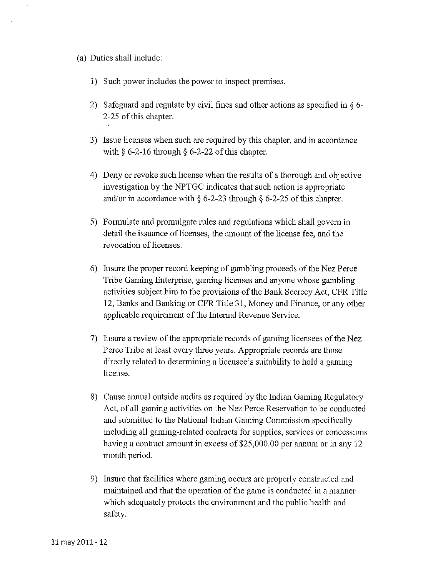*(a) Duties shall include:* 

- 1) *Such power includes the power to inspect premises.*
- 2) *Safeguard and regulate by civil fines and other actions as specified in 5* 6- 2-25 *of this chapter.*
- 3) *Issue licenses when such are required by this chapter, and in accordance with 5* 6-2-16 *through 5* 6-2-22 *of this chapter.*
- *4) Deny or revoke such license when the results of a thorough and objective investigation by the NPTGC indicates that such action is appropriate andlor in accordance with 5* 6-2-23 *through 5* 6-2-25 *of this chapter.*
- 5) *Forinulate and promulgate rules and regulations which shall govern in detail the issuance of licenses, the amount of the license fee, and the revocation of licenses.*
- *6) Insure the proper record keeping of gambling proceeds* of *the Nez Perce Tribe Gaming Enterprise, gaming licenses and anyone whose gambling activities subject him to the provisions of the Bank Secrecy Act, CFR Title*  12, Banks and Banking or CFR Title 31, Money and Finance, or any other *applicable requirement of the Internal Revenue Service.*
- *7)* Insure a review of the appropriate records of gaming licensees of the Nez *Pcrcc Tribe at least cvery three years. Appropriate records are those directly related to determining a licensee's suitability to hold a gaming license.*
- 8) Cause annual outside audits as required by the Indian Gaming Regulatory *Act, of all gaming activities on the Nez Perce Reservation to be conducted*  and submitted to the National Indian Gaming Commission specifically *including all gaming-related contracts for supplies, services or concessions having a contract amount in excess of \$25,000.00 per annum or in any 12 month period.*
- 9) *Insure that facilities where gaming occurs are properly constructed and*  maintained and that the operation of the game is conducted in a manner which adequately protects the environment and the public health and *safety.*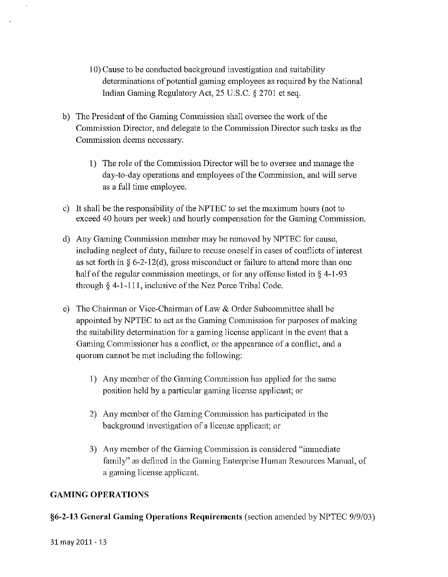- 10) Cause to be conducted background investigation and suitability determinations of potential gaming employees as required by the National Indian Gaming Regulatory Act, 25 U.S.C. § 2701 et seq.
- b) The President of the Gaming Commission shall oversee the work of the Commission Director, and delegate to the Commission Director such tasks as the Commission deems necessary.
	- 1) The role of the Commission Director will be to oversee and manage the day-to-day operations and employees of the Commission, and will serve as a full time employee.
- c) It shall be the responsibility of the NPTEC to set the maximum hours (not to exceed 40 hours per week) and hourly compensation for the Gaming Commission.
- d) Any Gaming Commission member may be removed by NPTEC for cause, including neglect of duty, failure to recuse oneself in cases of conflicts of interest as set forth in  $\S 6$ -2-12(d), gross misconduct or failure to attend more than one half of the regular commission meetings, or for any offense listed in  $\S$  4-1-93 through  $\S$  4-1-111, inclusive of the Nez Perce Tribal Code.
- e) The Chairman or Vice-Chairman of Law & Order Subcommittee shall be appointed by NPTEC to act as the Gaming Commission for purposes of making the suitability determination for a gaming license applicant in the event that a Gaming Commissioner has a conflict, or the appearance of a conflict, and a quorum cannot be met including the following:
	- 1) Any member of the Gaming Commission has applied for the same position held by a particular gaming license applicant; or
	- 2) Any member of the Gaming Commission has participated in the background investigation of a license applicant; or
	- 3) Any member of the Gaming Commission is considered "immediate" family" as defined in the Gaming Enterprise Human Resources Manual, of a gaming license applicant.

# **GAMING OPERATIONS**

### **§6-2-13 General Gaming Operations Requirements (section amended by NPTEC 9/9/03)**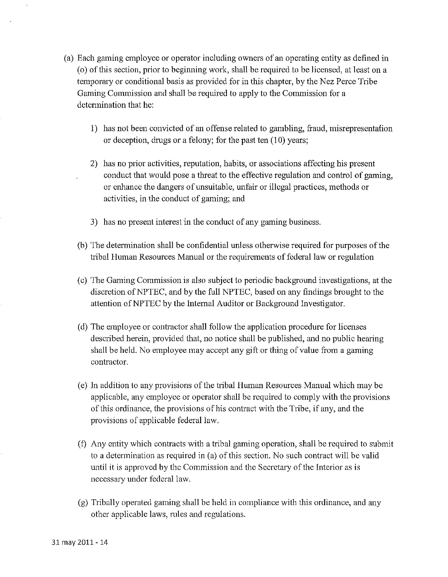- (a) Each gaming employee or operator including owners of an operating entity as defined in (0) of this section, prior to beginning work, shall be required to be licensed, at least on a temporary or conditional basis as provided for in this chapter, by the Nez Perce Tribe Gaming Commission and shall be required to apply to the Commission for a determination that he:
	- 1) has not been convicted of an offense related to gambling, fraud, misrepresentation or deception, drugs or a felony; for the past ten (10) years;
	- 2) has no prior activities, reputation, habits, or associations affecting his present conduct that would pose a threat to the effective regulation and control of gaming, or enhance the dangers of unsuitable, unfair or illegal practices, methods or activities, in the conduct of gaming; and
	- 3) has no present interest in the conduct of any gaming business,
	- (b) The determination shall be confidential unless otherwise required for purposes of the tribal Human Resources Manual or the requirements of federal law or regulation
	- (c) The Gaming Commission is also subject to periodic background investigations, at the discrction of NPTEC, and by the full NPTEC, based on any findings brought to the attention of NPTEC by the Internal Auditor or Background Investigator.
	- (d) The ernployee or contractor shall follow the application procedure for licenses described herein, provided that, no notice shall be published, and no public hearing shall be held. No employee may accept any gift or thing of value from a gaming contractor.
	- (e) In addition to any provisions of the tribal Human Resources Manual which may be applicable, any employee or operator shall be required to comply with the provisions of this ordinance, the provisions of his contract with the Tribe, if any, and the provisions of applicable federal law.
	- **(f)** Any entity which contracts with a tribal gaining operation, shall be required to submit to a determination as required in (a) of this section. No such contract will be valid until it is approved by the Commission and the Secretary of the Interior as is necessary undcr federal law.
	- (g) Tribally operated gaming shall be held in compliance with this ordinance, and any other applicable laws, rules and regulations.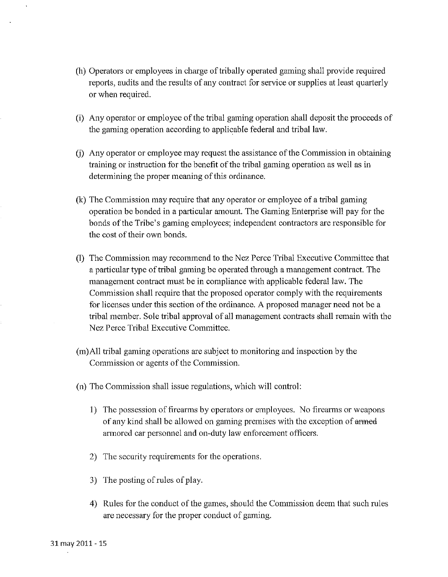- (h) Operators or employees in charge of tribally operated gaming shall provide required reports, audits and the results of any contract for service or supplies at least quarterly or when required.
- (i) Any operator or employee of the tribal gaming operation shall deposit the proceeds of the gaming operation according to applicable federal and tribal law.
- (j) Any operator or employee may request the assistance of the Comnission in obtaining training or instruction for the benefit of the tribal gaming operation as well as in determining the proper meaning of this ordinance.
- $(k)$  The Commission may require that any operator or employee of a tribal gaming operation be bonded in a particular amount. The Gaming Enterprise will pay for the bonds of the Tribe's ganing employees; independent contractors are responsible for the cost of their own bonds.
- (1) The Commission may recommend to the Nez Perce Tribal Executive Committee that a particular type of tribal gaming be operated through a management contract. The management contract must be in compliance with applicable federal law. The Commission shall require that the proposed operator comply with the requirements for licenses under this section of the ordinance. A proposed manager need not be a tribal member. Sole tribal approval of all management contracts shall remain with the Nez Perce Tribal Executive Committee.
- (m)All tribal gaming operations are subject to monitoring and inspection by the Commission or agents of the Commission.
- (n) The Commission shall issue regulations, which will control:
	- 1) The possession of firearms by operators or employees. No firearms or weapons of any kind shall be allowed on gaming premises with the exception of armed armored car personnel and on-duty law enforcement officers.
	- 2) Thc security requirements for the operations.
	- 3) The posting of rules of play.
	- 4) Rules for the conduct of the games, should the Commission deem that such rules are necessary for the proper conduct of gaming.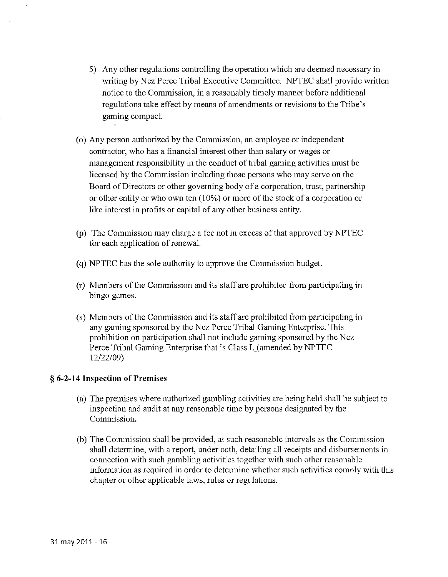- 5) Any other regulations controlling the operation which are deemed necessary in writing by Nez Perce Tribal Executive Committee. NPTEC shall provide written notice to the Commission, in a reasonably timely manner before additional regulations take effect by means of amendments or revisions to the Tribe's gaming compact.
- (o) Any person authorized by the Commission, an employee or independent contractor, who has a financial interest other than salary or wages or management responsibility in the conduct of tribal gaming activities must be licensed by the Commission including those persons who may serve on the Board of Directors or other governing body of a corporation, trust, partnership or other entity or who own ten  $(10\%)$  or more of the stock of a corporation or like interest in profits or capital of any other business entity.
- (p) The Commission may charge a fee not in excess of that approved by NPTEC for each application of renewal.
- (q) NPTEC has the sole authority to approve the Commission budget.
- (r) Meinbers of the Commission and its staff are prohibited from participating in bingo games.
- (s) Members of the Comnlission and its staff are prohibited from participating in any gaming sponsored by the Nez Perce Tribal Gaming Enterprise. This prohibition on participation shall not include gaming sponsored by the Nez Perce Tribal Gaming Enterprise that is Class I. (amended by NPTEC 12/22/09)

# *5* 6-2-14 Inspection of Premises

- (a) The premises where authorized gambling activities are being held shall be subject to inspection and audit at any reasonable time by persons designated by the Commission.
- (b) The Commission shall be provided, at such reasonable intervals as the Commission shall determine, with a report, under oath, detailing all receipts and disbursements in connection with such gambling activities together with such other reasonable information as required in order to determine whether such activities comply with this chapter or other applicable laws, rules or regulations.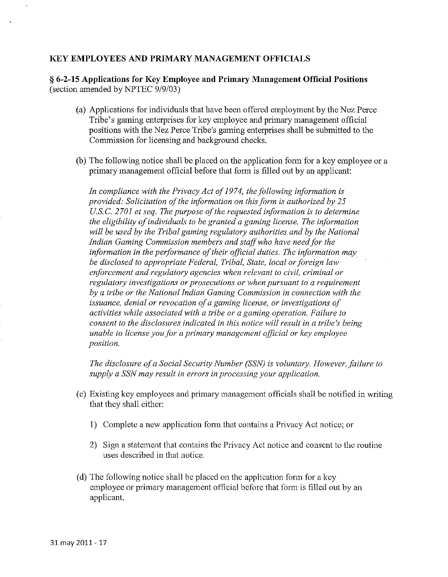### **IKEY EMPLOYEES AND PRIMARY MANAGEMENT OFFICIALS**

*5* **6-2-15 Applications for Key Ernployee and Primary Management Official Positions**  (section amended by NPTEC *919103)* 

- (a) Applications for individuals that have been offered employment by the Nez Perce Tribe's gaming enterprises for key employee and primary management official positions with the Nez Perce Tribe's gaming enterprises shall be submitted to the Commission for licensing and background checks.
- @) The following notice shall be placed on the application form for a key employee or a primary management official before that form is filled out by an applicant:

*In compliance with the Privacy Act of 1974, the following information is provided: Solicitation of the information on this form is authorized by 25 U.S.C. 2701 et seq. The purpose of the requested information is to determine the eligibility of individuals to be granted a gaming license. The information*  will be used by the Tribal gaming regulatory authorities and by the National *Indian Gaming Commission members and staffwho have need for the information in the performance of their official duties, The information may be disclosed to appropriate Federal, Tribal, State, local or foreign law enforcement and regulatory agencies when relevant to civil, criminal or regulatory investigations or prosecutions or when pursuant to a requirement by a tribe or the National Indian Gaming Commission in connection with the issuance, denial or revocation of a gaming license, or investigations of activities while associated with a tribe or a gaming operation. Failure to consent to the disclosures indicated in this notice will result in a tribe's being unable to license you,for a primary management oficial or ltey enployee position.* 

*The disclosure of a Social Secwrily Number (SSW is voluntary. However, failure to supply a SSNmay result in errors in processing your applicalion.* 

- $(c)$  Existing key employees and primary management officials shall be notified in writing that they shall either:
	- 1) Complete a new application form that contains a Privacy Act notice; or
	- 2) Sign a statement that contains the Privacy Act notice and consent to the routine uses described in that notice.
- (d) The following notice shall be placed on the application form for a key employee or primary management official before that form is filled out by an applicant.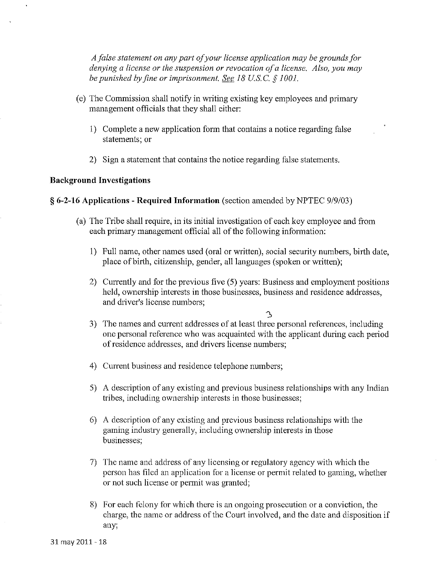*A jblse statement on any part ofyour license application may be grounds for denying a license or the suspension or revocation of a license. Also, you may be punished by fine or imprisonment. <u>See</u> 18 U.S.C. § 1001.* 

- (e) The Commission shall notify in writing existing key employees and primary management officials that they shall either:
	- 1) Complete a new application form that contains a notice regarding false statements; or
	- 2) Sign a statement that contains the notice regarding false statements.

### Background Investigations

### *5* 6-2-16 Applications - Required Information (section amended by NPTEC 9/9/03)

- (a) The Tribe shall require, in its initial investigation of each lcey employee and from each primary management official all of the following information:
	- 1) Full name, other names used (oral or written), social security numbers, birth date, place of birth, citizenship, gender, all languages (spoken or written);
	- 2) Currently and for thc previous five (5) years: Business and employment positions held, ownership interests in those businesses, business and residence addresses, and driver's license numbers;

a

- 3) The names and current addresses of at least three personal references, including one personal reference who was acquainted with the applicant during each period of residence addresses, and drivers license numbers;
- 4) Current business and residence telephone numbers;
- 5) A description of any existing and previous business relationships with any Indian tribes, including ownership interests in those businesses;
- $6)$  A description of any existing and previous business relationships with the gaming industry generally, including ownership interests in those businesses:
- 7) The name and address of any licensing or regulatory agency with which the person has filed an application for a license or permit related to gaming, whether or not such license or permit was granted;
- 8) For cach fclony for which there is an ongoing prosecution or a conviction, the charge, the name or address of the Court involved, and the date and disposition if any;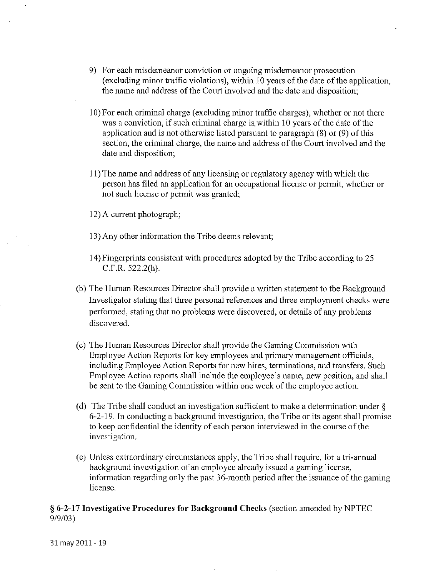- 9) For each misdemeanor conviction or ongoing misdemeanor prosecution (excluding minor traffic violations), within 10 years of the date of the application, the name and address of the Court involved and the date and disposition;
- 10) For each criminal charge (excluding minor traffic charges), whether or not there was a conviction, if such criminal charge is within 10 years of the date of the application and is not otherwise listed pursuant to paragraph (8) or (9) of this section, the criminal charge, the name and address of the Court involved and the date and disposition;
- 11) The name and address of any licensing or regulatory agency with which the person has filed an application for an occupational license or permit, whether or not such license or pennit was granted;
- 12) A current photograph;
- 13) Any other information the Tribe deems relevant;
- 14) Fingerprints consistent with procedures adopted by the Tribe according to 25 C.F.R. 522.2(h).
- (b) The Human Resources Director shall provide a written statement to the Background Investigator stating that three personal references and three employment checks were performed, stating that no problems were discovered, or details of any problems discovered.
- (c) The Human Resources Director shall provide the Gaming Commission with Employee Action Reports for key employees and primary management officials, including Employee Action Reports for ncw hires, terminations, and transfers. Such Employee Action reports shall include the employee's name, new position, and shall be sent to the Gaming Commission within one week of the employee action.
- (d) The Tribe shall conduct an investigation sufficient to make a determination under  $\S$ 6-2-19. In conducting a background investigation, the Tribe or its agent shall promise to keep confidential the identity of each person interviewed in the course of the invcstigation.
- (e) Unless extraordinary circumstances apply, the Tribe shall require, for a tri-annual background investigation of an employee already issued a gaming license, information regarding only the past 36-month period after the issuance of the gaming license.

## *5* **6-2-17 Investigative Procedures for Background Checlzs** (section amended by NPTEC 9/9/03)

31 may 2011 - 19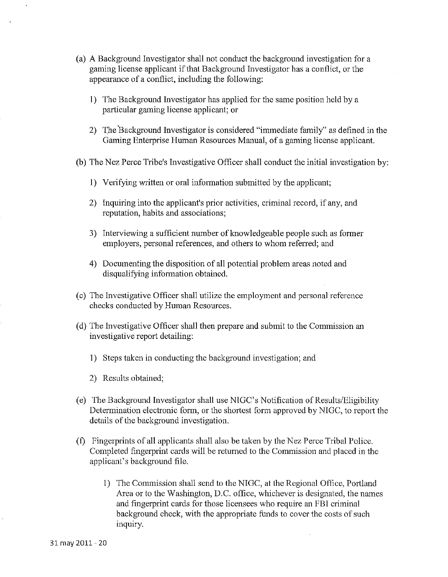- (a) A Background Investigator shall not conduct the background investigation for a gaming license applicant if that Background Investigator has a conflict, or the appearance of a conflict, including the following:
	- 1) The Background Investigator has applied for the same position held by a particular gaming license applicant; or
	- 2) The Background Investigator is considered "immediate family" as defined in the Gaming Enterprise Human Resources Manual, of a gaming license applicant.

(b) The Nez Perce Tribe's Investigative Officer shall conduct the initial investigation by:

- 1) Verifying written or oral information submitted by the applicant;
- 2) Inquiring into the applicant's prior activities, criminal record, if any, and reputation, habits and associations;
- 3) Interviewing a sufficient number of knowledgeable people such as former employers, personal references, and others to whom referred; and
- 4) Documenting the disposition of all potential problem areas noted and disqualifying information obtained.
- (c) The Investigative Officer shall utilize the employment and personal reference checks conducted by Human Resources.
- $(d)$  The Investigative Officer shall then prepare and submit to the Commission an investigative report detailing:
	- 1) Steps taken in conducting the background investigation; and
	- 2) Results obtained;
- (e) The Background Investigator shall use NIGC's Notification of Results/Eligibility Determination electronic form, or the shortest form approved by NIGC, to report the details of the background investigation.
- (f) Fingerprints of all applicants shall also be taken by the Nez Perce Tribal Police. Completed fingerprint cards will be returned to the Commission and placed in the applicant's background file.
	- 1) The Commission shall send to the NIGC, at the Regional Office, Portland Area or to the Washington, D.C. office, whichever is designated, the nanes and fingerprint cards for those licensees who require an FBI criminal background check, with the appropriate funds to cover the costs of such inquiry.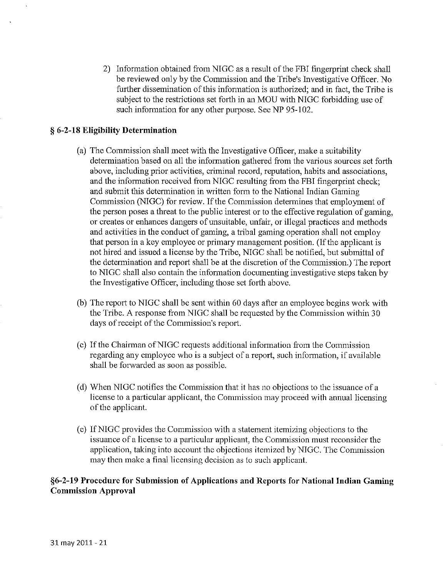2) Information obtained from NIGC as a result of the FBI fingerprint check shall be reviewed only by the Commission and the Tribe's Investigative Officer. No further dissemination of this information is authorized; and in fact, the Tribe is subject to the restrictions set forth in an MOU with NIGC forbidding use of such information for any other purpose. See NP 95-102.

### *5* **6-2-18 Eligibility Determination**

- (a) The Commission shall meet with the Investigative Officer, inalce a suitability determination based on all the information gathered from the various sources set forth above, including prior activities, criminal record, reputation, habits and associations, and the information received from NIGC resulting from the FBI fingerprint check; and submit this determination in written form to the National Indian Gaming Commission (NIGC) for review. If the Commission determines that employment of the person poses a threat to the public interest or to the effective regulation of gaming, or creates or enhances dangers of unsuitable, unfair, or illegal practices and methods and activities in the conduct of gaming, a tribal gaming operation shall not employ that person in a key employee or primary management position. (If the applicant is not hired and issued a license by the Tribe, NIGC shall be notified, but submittal of the determination and report shall be at the discretion of the Commission.) The report to NIGC shall also contain the information documenting investigative steps taken by the Investigative Officer, including those set forth above.
- $(b)$  The report to NIGC shall be sent within 60 days after an employee begins work with the Tribe. A response from NIGC shall be requested by the Commission within 30 days of receipt of the Commission's report.
- (c) If the Chairman of NIGC requests additional information from the Commission regarding any employee who is a subject of a report, such information, if available shall be forwarded as soon as possible.
- (d) When NIGC notifies the Commission that it has no objections to the issuance of a license to a particular applicant, the Commission may proceed with annual licensing of the applicant.
- (e) If NIGC provides the Commission with a statement itemizing objections to the issuance of a license to a particular applicant, the Commission must reconsider the application, taking into account the objections itemized by NIGC. The Commission may then make a final licensing decision as to such applicant.

## §6-2-19 Procedure for Submission of Applications and Reports for National Indian Gaming **Commission Approval**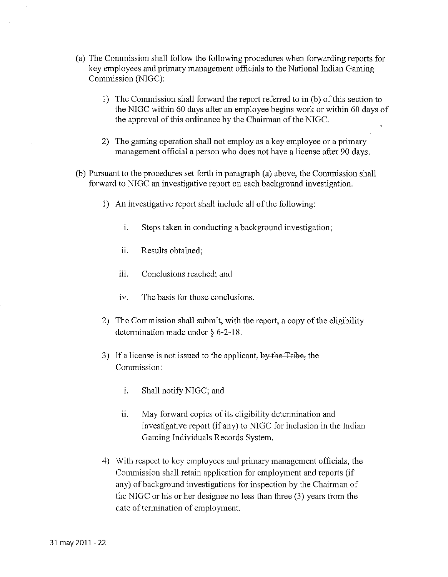- (a) The Commission shall follow the following procedures when forwarding reports for key employees and primary management officials to the National Indian Gaming Commission (NIGC);
	- 1) The Commission shall forward the report referred to in  $(b)$  of this section to the NIGC within 60 days after an employee begins work or within 60 days of the approval of this ordinance by the Chairman of the NIGC.
	- 2) The gaming operation shall not employ as a key employee or a primary management official a person who does not have a license after 90 days.
- (b) Pursuant to the procedures set forth in paragraph (a) above, the Commission shall forward to NIGC an investigative report on each background investigation.
	- 1) An investigative report shall include all of the following:
		- i. Steps taken in conducting a background investigation;
		- ii. Results obtained;
		- . . . Conclusions reached; and
		- iv. The basis for those conclusions.
	- 2) The Commission shall submit, with the report, a copy of the eligibility deterinination made under *5* 6-2-18.
	- 3) If a license is not issued to the applicant, by the Tribe, the Commission:
		- i. Shall notify NIGC; and
		- ii. May forward copies of its eligibility determination and investigative report (if any) to NIGC for inclusion in thc Indian Gaming Individuals Records System.
	- 4) With respect to key employees and primary management officials, the Commission shall retain application for employment and reports (if any) of background investigations for inspection by the Chairman of the NIGC or his or her designee no less than three (3) years from the date of termination of employment.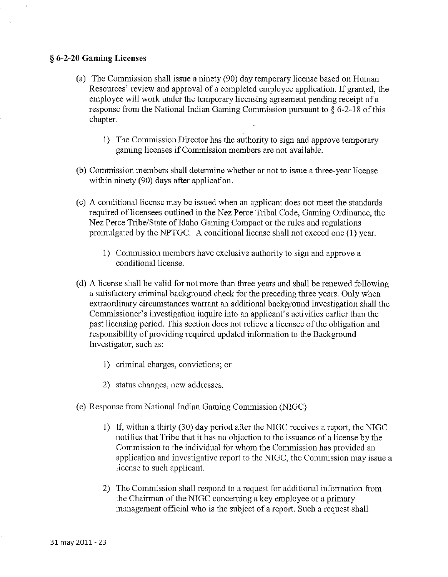### § **6-2-20 Gaming Licenses**

- (a) The Commission shall issue a ninety (90) day temporary license based on Human Resources' review and approval of a completed employee application. If granted, the employee will work under the temporary licensing agreement pending receipt of a response from the National Indian Gaming Commission pursuant to  $\frac{6}{5}$  6-2-18 of this chapter.
	- 1) The Commission Director has the authority to sign and approve temporary gaming licenses if Commission members are not available.
- (b) Commission members shall determine whether or not to issue a three-year license within ninety (90) days after application.
- (c) A conditional license may be issued when an applicant does not meet the standards required of licensees outlined in the Nez Perce Tribal Code, Gaming Ordinance, the Nez Perce Tribe/State of Idaho Gaming Compact or the rules and regulations promulgated by the NPTGC. A conditional license shall not exceed one (1) year.
	- 1) Commission members have exclusive authority to sign and approve a conditional license.
- (d) A license shall be valid for not more than three years and shall be renewed following a satisfactory criminal background check for the preccding three years. Only when extraordinary circumstances warrant an additional background investigation shall the Commissioner's investigation inquire into an applicant's activities earlier than the past licensing period. This section does not relieve a licensee of the obligation and responsibility of providing required updated information to the Background Investigator, such as:
	- 1) criminal charges, convictions; or
	- 2) status changes, new addresses.
- (e) Response from National Indian Gaming Commission (NIGC)
	- 1) If, within a thirty  $(30)$  day period after the NIGC receives a report, the NIGC notifies that Tribe that it has no objection to the issuance of a license by the Commission to the individual for whom the Commission has provided an application and investigative report to the NIGC, the Commission may issue a license to such applicant.
	- 2) The Commission shall respond to a request for additional information from the Chairman of the NIGC concerning a key employee or a primary management official who is the subject of a report. Such a request shall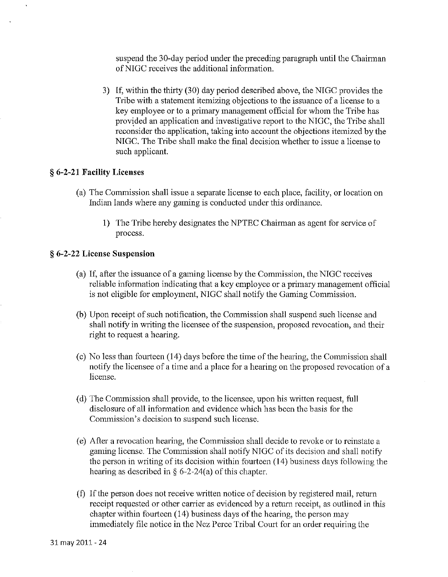suspend the 30-day period under the preceding paragraph until the Chairman of NIGC receives the additional information.

3) If, within the thirty (30) day period described above, the NIGC provides the Tribe with a statement itemizing objections to the issuance of a license to a key employee or to a primary management official for whom the Tribe has provided an application and investigative report to the NIGC, the Tribe shall reconsider the application, taking into account the objections itemized by the NIGC. The Tribe shall make the final decision whether to issue a license to such applicant.

### § **6-2-21 Facility Licenses**

- (a) The Commission shall issue a separate license to each place, facility, or location on Indian lands where any gaming is conducted under this ordinance.
	- 1) The Tribe hereby designates the NPTEC Chairman as agent for service of process.

### **a 6-2-22 License Suspension**

- (a) If, after the issumce of a gaming license by the Commission, the NIGC receives reliable information indicating that a key employee or a primary management official is not eligible for employment, NIGC shall notify the Gaming Commission.
- (b) Upon receipt of such notification, the Commission shall suspend such license and shall notify in writing the licensee of the suspension, proposed revocation, and their right to request a hearing.
- (c) No less than fourteen  $(14)$  days before the time of the hearing, the Commission shall notify the licensee of a time and a place for a hearing on the proposed revocation of a licensc.
- (d) The Commission shall provide, to the licensee, upon his written request, full disclosure of all information and evidence which has bccn thc basis for the Commission's decision to suspend such license.
- (e) After a revocation hearing, the Comnlission shall decide to revoke or to reinstate a gaming license. The Commission shall notify NIGC of its decision and shall notify the person in writing of its decision within fourteen (14) business days following the hearing as described in  $\S$  6-2-24(a) of this chapter.
- **(fj** If the person does not receive written notice of decision by registered mail, return reccipt requested or other carrier as evidenced by a return receipt, as outlined in this chapter within fourteen (14) business days of the hearing, the person may immediately file notice in the Nez Perce Tribal Court for an order requiring the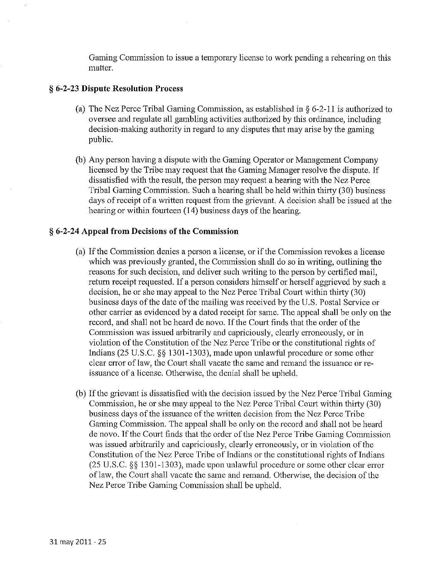Gaming Commission to issue a temporary license to work pending a rehearing on this matter.

### § **6-2-23 Dispute Resolution Process**

- (a) The Nez Perce Tribal Gaming Commission, as established in *§* 6-2-11 is authorized to oversee and regulate all gambling activities authorized by this ordinance, including decision-making authority in regard to any disputes that may arise by the gaming public.
- (b) Any person having a dispute with the Gaming Operator or Management Company licensed by the Tribe may request that the Gaming Manager resolve the dispute. If dissatisfied with the result, the person inay request a hearing with the Nez Perce Tribal Gaming Commission. Such a hearing shall be held within thirty (30) business days of receipt of a written request from the grievant. A decision shall be issued at the hearing or within fourteen (14) business days of the hearing.

### 5 **6-2-24 Appeal from Decisions of the Commission**

- (a) If the Commission denies a person a license, or if the Commission revokes a license which was previously granted, the Commission shall do so in writing, outlining the reasons for such decision, and deliver such writing to the person by certified mail, return receipt requested. If a person considers himself or herself aggrieved by sucb a decision, he or she may appeal to the Nez Perce Tribal Court within thirty (30) business days of the date of the mailing was received by the U.S. Postal Service or other carrier as evidenced by a dated receipt for sane. The appeal shall be only on the record, and shall not be heard de novo. If the Court finds that the order of the Commission was issued arbitrarily and capriciously, clearly erroneously, or in violation of the Constitution of the Nez Perce Tribe or the constitutional rights of Indians (25 U.S.C. *\$5* 1301-1303), made upon unlawful procedure or some other clear error of law, the Court shall vacate the same and remand the issuance or reissuance of a license. Otherwise, the denial shall be upheld.
- (b) If the grievant is dissatisfied with the decision issued by the Nez Perce Tribal Gaming Commission, he or she may appeal to the Nez Perce Tribal Court within thirty (30) business days of the issuance of the written decision from the Nez Perce Tribe Gaming Commission. The appeal shall be only on the record and shall not be heard de novo. If the Court finds that the order of the Nez Perce Tribe Gaming Commission was issued arbitrarily and capriciously, clearly erroneously, or in violation of the Constitution of the Nez Perce Tribe of Indians or the constitutional rights of Indians (25 U.S.C. §§ 1301-1303), made upon unlawful procedure or some other clear error of law, the Court shall vacate the same and remand. Otherwise, the decision of the Nez Perce Tribe Gaming Commission shall be upheld.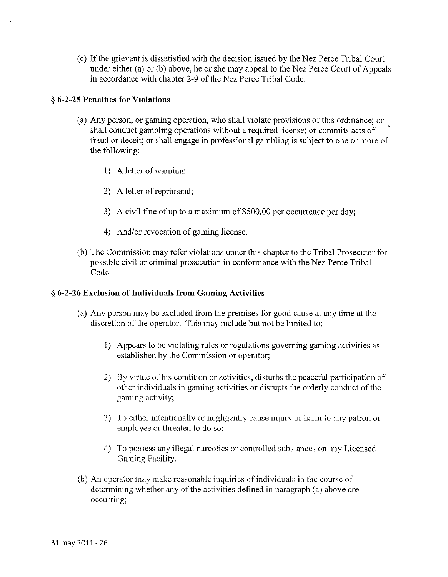(c) If the grievant is dissatisfied with the decision issued by the Nez Perce Tribal Court under either (a) or (b) above, he or she may appeal to the Nez Perce Court of Appeals in accordance with chapter 2-9 of the Nez Perce Tribal Code.

### **3 6-2-25 Penalties for Violations**

- (a) Any person, or gaming operation, who shall violate provisions of this ordinance; or shall conduct gambling operations without a required license; or commits acts of ' fraud or deceit; or shall engage in professional gambling is subject to one or more of the following:
	- 1) A letter of warning;
	- 2) A letter of reprimand;
	- 3) A civil fine of up to a maximum of \$500.00 per occurrence per day;
	- 4) And/or revocation of gaming license.
- (b) The Commission may refer violations under this chapter to the Tribal Prosecutor for possible civil or criminal prosecution in conformance with the Nez Perce Tribal Code.

### *5* **6-2-26 Excll~sion of Individuals from Gaming Activities**

- (a) Any person inay be excluded from the premises for good cause at any time at the discretion of the operator. This may include but not be limited to:
	- 1) Appears to be violating rules or regulations governing gaming activities as established by the Commission or operator;
	- 2) By virtue of his condition or activities, disturbs the peaceful participation of other individuals in gaming activities or disrupts the orderly conduct of the gaming activity;
	- 3) To either intentionally or ncgligcntly cause injury or harm to any patron or employee or threaten to do so;
	- 4) To possess any illegal narcotics or controlled substances on any Licensed Gaming Facility.
- (b) An operator may make reasonable inquiries of individuals in the course of determining whether any of the activities defined in paragraph (a) above are occurring;